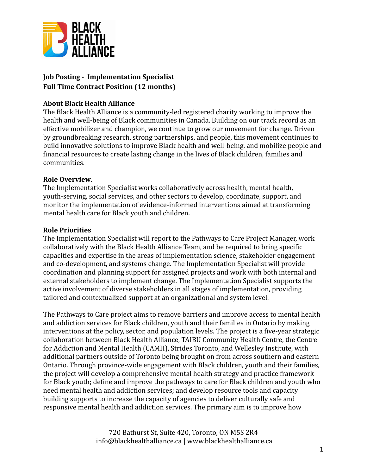

# **Job Posting - Implementation Specialist Full Time Contract Position (12 months)**

### **About Black Health Alliance**

The Black Health Alliance is a community-led registered charity working to improve the health and well-being of Black communities in Canada. Building on our track record as an effective mobilizer and champion, we continue to grow our movement for change. Driven by groundbreaking research, strong partnerships, and people, this movement continues to build innovative solutions to improve Black health and well-being, and mobilize people and financial resources to create lasting change in the lives of Black children, families and communities.

#### **Role Overview**.

The Implementation Specialist works collaboratively across health, mental health, youth-serving, social services, and other sectors to develop, coordinate, support, and monitor the implementation of evidence-informed interventions aimed at transforming mental health care for Black youth and children.

#### **Role Priorities**

The Implementation Specialist will report to the Pathways to Care Project Manager, work collaboratively with the Black Health Alliance Team, and be required to bring specific capacities and expertise in the areas of implementation science, stakeholder engagement and co-development, and systems change. The Implementation Specialist will provide coordination and planning support for assigned projects and work with both internal and external stakeholders to implement change. The Implementation Specialist supports the active involvement of diverse stakeholders in all stages of implementation, providing tailored and contextualized support at an organizational and system level.

The Pathways to Care project aims to remove barriers and improve access to mental health and addiction services for Black children, youth and their families in Ontario by making interventions at the policy, sector, and population levels. The project is a five-year strategic collaboration between Black Health Alliance, TAIBU Community Health Centre, the Centre for Addiction and Mental Health (CAMH), Strides Toronto, and Wellesley Institute, with additional partners outside of Toronto being brought on from across southern and eastern Ontario. Through province-wide engagement with Black children, youth and their families, the project will develop a comprehensive mental health strategy and practice framework for Black youth; define and improve the pathways to care for Black children and youth who need mental health and addiction services; and develop resource tools and capacity building supports to increase the capacity of agencies to deliver culturally safe and responsive mental health and addiction services. The primary aim is to improve how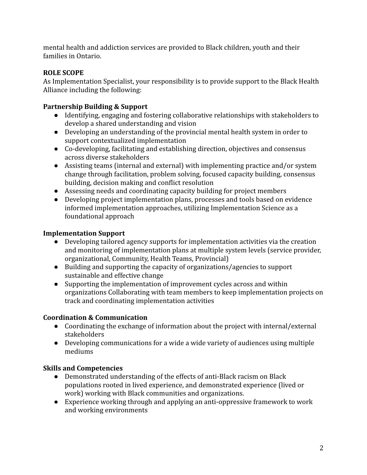mental health and addiction services are provided to Black children, youth and their families in Ontario.

### **ROLE SCOPE**

As Implementation Specialist, your responsibility is to provide support to the Black Health Alliance including the following:

# **Partnership Building & Support**

- Identifying, engaging and fostering collaborative relationships with stakeholders to develop a shared understanding and vision
- Developing an understanding of the provincial mental health system in order to support contextualized implementation
- Co-developing, facilitating and establishing direction, objectives and consensus across diverse stakeholders
- Assisting teams (internal and external) with implementing practice and/or system change through facilitation, problem solving, focused capacity building, consensus building, decision making and conflict resolution
- Assessing needs and coordinating capacity building for project members
- Developing project implementation plans, processes and tools based on evidence informed implementation approaches, utilizing Implementation Science as a foundational approach

# **Implementation Support**

- Developing tailored agency supports for implementation activities via the creation and monitoring of implementation plans at multiple system levels (service provider, organizational, Community, Health Teams, Provincial)
- Building and supporting the capacity of organizations/agencies to support sustainable and effective change
- Supporting the implementation of improvement cycles across and within organizations Collaborating with team members to keep implementation projects on track and coordinating implementation activities

# **Coordination & Communication**

- Coordinating the exchange of information about the project with internal/external stakeholders
- Developing communications for a wide a wide variety of audiences using multiple mediums

# **Skills and Competencies**

- Demonstrated understanding of the effects of anti-Black racism on Black populations rooted in lived experience, and demonstrated experience (lived or work) working with Black communities and organizations.
- Experience working through and applying an anti-oppressive framework to work and working environments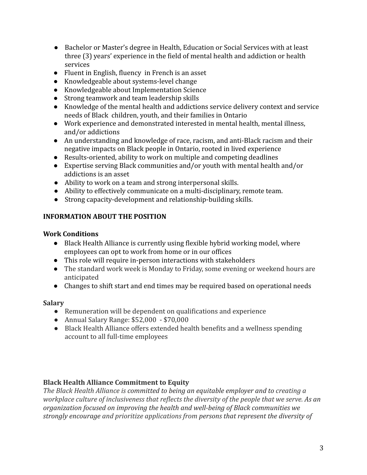- Bachelor or Master's degree in Health, Education or Social Services with at least three (3) years' experience in the field of mental health and addiction or health services
- Fluent in English, fluency in French is an asset
- Knowledgeable about systems-level change
- Knowledgeable about Implementation Science
- Strong teamwork and team leadership skills
- Knowledge of the mental health and addictions service delivery context and service needs of Black children, youth, and their families in Ontario
- Work experience and demonstrated interested in mental health, mental illness, and/or addictions
- An understanding and knowledge of race, racism, and anti-Black racism and their negative impacts on Black people in Ontario, rooted in lived experience
- Results-oriented, ability to work on multiple and competing deadlines
- Expertise serving Black communities and/or youth with mental health and/or addictions is an asset
- Ability to work on a team and strong interpersonal skills.
- Ability to effectively communicate on a multi-disciplinary, remote team.
- Strong capacity-development and relationship-building skills.

### **INFORMATION ABOUT THE POSITION**

#### **Work Conditions**

- Black Health Alliance is currently using flexible hybrid working model, where employees can opt to work from home or in our offices
- This role will require in-person interactions with stakeholders
- The standard work week is Monday to Friday, some evening or weekend hours are anticipated
- Changes to shift start and end times may be required based on operational needs

### **Salary**

- Remuneration will be dependent on qualifications and experience
- Annual Salary Range: \$52,000 \$70,000
- Black Health Alliance offers extended health benefits and a wellness spending account to all full-time employees

### **Black Health Alliance Commitment to Equity**

*The Black Health Alliance is committed to being an equitable employer and to creating a workplace culture of inclusiveness that reflects the diversity of the people that we serve. As an organization focused on improving the health and well-being of Black communities we strongly encourage and prioritize applications from persons that represent the diversity of*